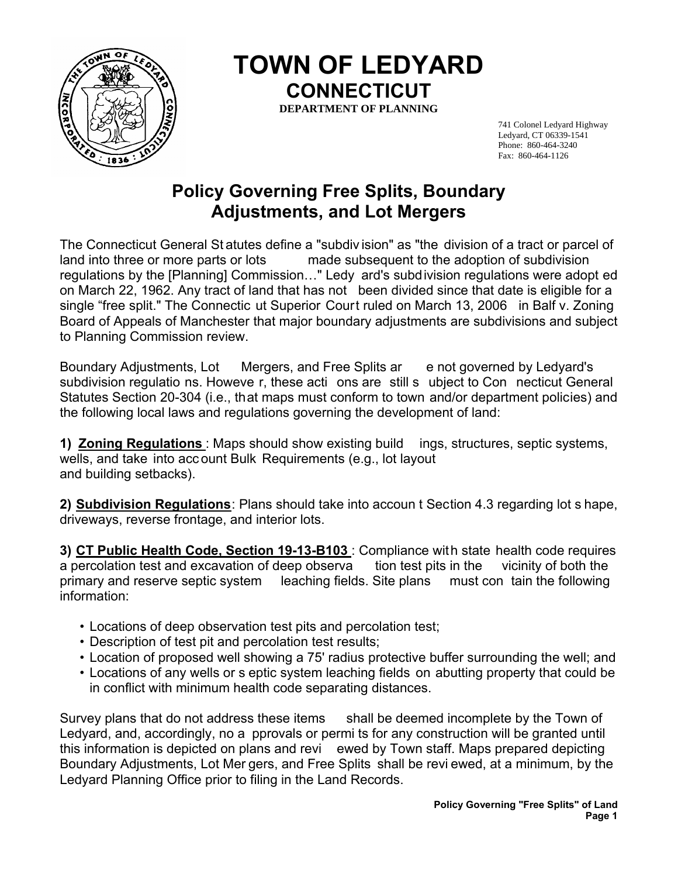

 **TOWN OF LEDYARD CONNECTICUT**

**DEPARTMENT OF PLANNING** 

741 Colonel Ledyard Highway Ledyard, CT 06339-1541 Phone: 860-464-3240 Fax: 860-464-1126

## **Policy Governing Free Splits, Boundary Adjustments, and Lot Mergers**

The Connecticut General St atutes define a "subdiv ision" as "the division of a tract or parcel of land into three or more parts or lots made subsequent to the adoption of subdivision regulations by the [Planning] Commission…" Ledy ard's subdivision regulations were adopt ed on March 22, 1962. Any tract of land that has not been divided since that date is eligible for a single "free split." The Connectic ut Superior Court ruled on March 13, 2006 in Balf v. Zoning Board of Appeals of Manchester that major boundary adjustments are subdivisions and subject to Planning Commission review.

Boundary Adjustments, Lot Mergers, and Free Splits ar e not governed by Ledyard's subdivision regulatio ns. Howeve r, these acti ons are still s ubject to Con necticut General Statutes Section 20-304 (i.e., that maps must conform to town and/or department policies) and the following local laws and regulations governing the development of land:

**1) Zoning Regulations** : Maps should show existing build ings, structures, septic systems, wells, and take into acc ount Bulk Requirements (e.g., lot layout and building setbacks).

**2) Subdivision Regulations**: Plans should take into accoun t Section 4.3 regarding lot s hape, driveways, reverse frontage, and interior lots.

**3) CT Public Health Code, Section 19-13-B103** : Compliance with state health code requires a percolation test and excavation of deep observa tion test pits in the vicinity of both the primary and reserve septic system leaching fields. Site plans must con tain the following information:

- Locations of deep observation test pits and percolation test;
- Description of test pit and percolation test results;
- Location of proposed well showing a 75' radius protective buffer surrounding the well; and
- Locations of any wells or s eptic system leaching fields on abutting property that could be in conflict with minimum health code separating distances.

Survey plans that do not address these items shall be deemed incomplete by the Town of Ledyard, and, accordingly, no a pprovals or permi ts for any construction will be granted until this information is depicted on plans and revi ewed by Town staff. Maps prepared depicting Boundary Adjustments, Lot Mer gers, and Free Splits shall be revi ewed, at a minimum, by the Ledyard Planning Office prior to filing in the Land Records.